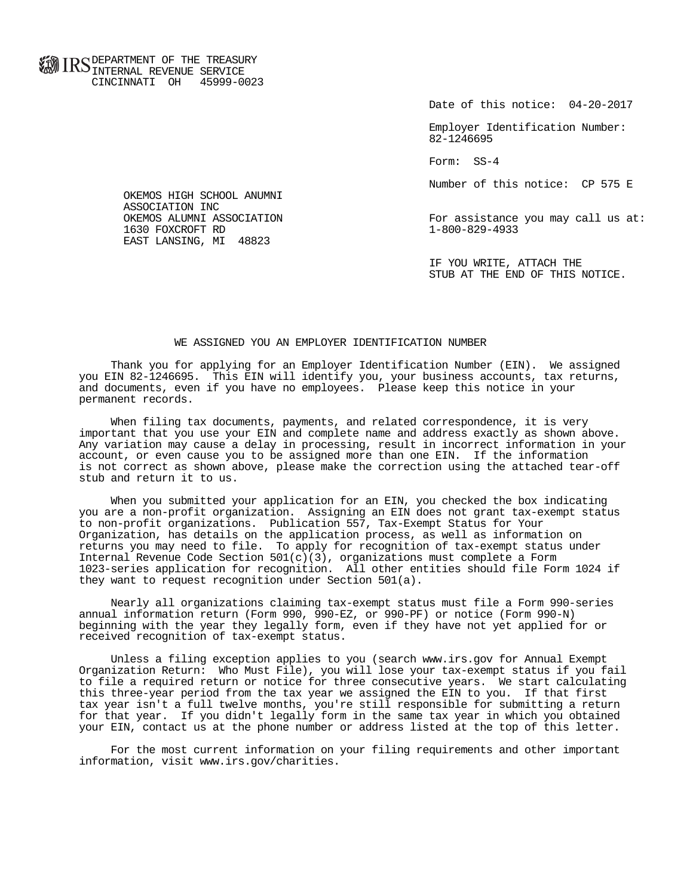**FOR ID C** DEPARTMENT OF THE TREASURY **WWW IIND** INTERNAL REVENUE SERVICE CINCINNATI OH 45999-0023

Date of this notice: 04-20-2017

 Employer Identification Number: 82-1246695

Form: SS-4

Number of this notice: CP 575 E

For assistance you may call us at:<br>1-800-829-4933

 IF YOU WRITE, ATTACH THE STUB AT THE END OF THIS NOTICE.

## WE ASSIGNED YOU AN EMPLOYER IDENTIFICATION NUMBER

 Thank you for applying for an Employer Identification Number (EIN). We assigned you EIN 82-1246695. This EIN will identify you, your business accounts, tax returns, and documents, even if you have no employees. Please keep this notice in your permanent records.

 When filing tax documents, payments, and related correspondence, it is very important that you use your EIN and complete name and address exactly as shown above. Any variation may cause a delay in processing, result in incorrect information in your account, or even cause you to be assigned more than one EIN. If the information is not correct as shown above, please make the correction using the attached tear-off stub and return it to us.

 When you submitted your application for an EIN, you checked the box indicating you are a non-profit organization. Assigning an EIN does not grant tax-exempt status to non-profit organizations. Publication 557, Tax-Exempt Status for Your Organization, has details on the application process, as well as information on returns you may need to file. To apply for recognition of tax-exempt status under Internal Revenue Code Section  $501(c)(3)$ , organizations must complete a Form 1023-series application for recognition. All other entities should file Form 1024 if they want to request recognition under Section 501(a).

 Nearly all organizations claiming tax-exempt status must file a Form 990-series annual information return (Form 990, 990-EZ, or 990-PF) or notice (Form 990-N) beginning with the year they legally form, even if they have not yet applied for or received recognition of tax-exempt status.

 Unless a filing exception applies to you (search www.irs.gov for Annual Exempt Organization Return: Who Must File), you will lose your tax-exempt status if you fail to file a required return or notice for three consecutive years. We start calculating this three-year period from the tax year we assigned the EIN to you. If that first tax year isn't a full twelve months, you're still responsible for submitting a return for that year. If you didn't legally form in the same tax year in which you obtained your EIN, contact us at the phone number or address listed at the top of this letter.

 For the most current information on your filing requirements and other important information, visit www.irs.gov/charities.

 OKEMOS HIGH SCHOOL ANUMNI ASSOCIATION INC<br>OKEMOS ALUMNI ASSOCIATION 1630 FOXCROFT RD EAST LANSING, MI 48823